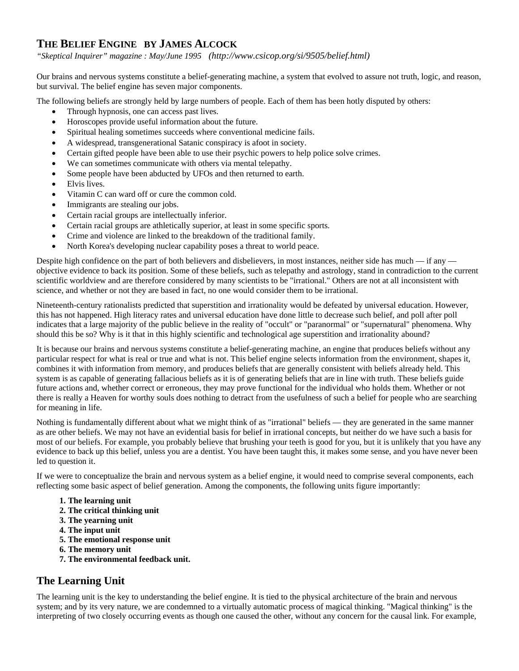# **THE BELIEF ENGINE BY JAMES ALCOCK**

*"Skeptical Inquirer" magazine : May/June 1995 (http://www.csicop.org/si/9505/belief.html)* 

Our brains and nervous systems constitute a belief-generating machine, a system that evolved to assure not truth, logic, and reason, but survival. The belief engine has seven major components.

The following beliefs are strongly held by large numbers of people. Each of them has been hotly disputed by others:

- Through hypnosis, one can access past lives.
- Horoscopes provide useful information about the future.
- Spiritual healing sometimes succeeds where conventional medicine fails.
- A widespread, transgenerational Satanic conspiracy is afoot in society.
- Certain gifted people have been able to use their psychic powers to help police solve crimes.
- We can sometimes communicate with others via mental telepathy.
- Some people have been abducted by UFOs and then returned to earth.
- Elvis lives.
- Vitamin C can ward off or cure the common cold.
- Immigrants are stealing our jobs.
- Certain racial groups are intellectually inferior.
- Certain racial groups are athletically superior, at least in some specific sports.
- Crime and violence are linked to the breakdown of the traditional family.
- North Korea's developing nuclear capability poses a threat to world peace.

Despite high confidence on the part of both believers and disbelievers, in most instances, neither side has much — if any objective evidence to back its position. Some of these beliefs, such as telepathy and astrology, stand in contradiction to the current scientific worldview and are therefore considered by many scientists to be "irrational." Others are not at all inconsistent with science, and whether or not they are based in fact, no one would consider them to be irrational.

Nineteenth-century rationalists predicted that superstition and irrationality would be defeated by universal education. However, this has not happened. High literacy rates and universal education have done little to decrease such belief, and poll after poll indicates that a large majority of the public believe in the reality of "occult" or "paranormal" or "supernatural" phenomena. Why should this be so? Why is it that in this highly scientific and technological age superstition and irrationality abound?

It is because our brains and nervous systems constitute a belief-generating machine, an engine that produces beliefs without any particular respect for what is real or true and what is not. This belief engine selects information from the environment, shapes it, combines it with information from memory, and produces beliefs that are generally consistent with beliefs already held. This system is as capable of generating fallacious beliefs as it is of generating beliefs that are in line with truth. These beliefs guide future actions and, whether correct or erroneous, they may prove functional for the individual who holds them. Whether or not there is really a Heaven for worthy souls does nothing to detract from the usefulness of such a belief for people who are searching for meaning in life.

Nothing is fundamentally different about what we might think of as "irrational" beliefs — they are generated in the same manner as are other beliefs. We may not have an evidential basis for belief in irrational concepts, but neither do we have such a basis for most of our beliefs. For example, you probably believe that brushing your teeth is good for you, but it is unlikely that you have any evidence to back up this belief, unless you are a dentist. You have been taught this, it makes some sense, and you have never been led to question it.

If we were to conceptualize the brain and nervous system as a belief engine, it would need to comprise several components, each reflecting some basic aspect of belief generation. Among the components, the following units figure importantly:

#### **1. The learning unit**

- **2. The critical thinking unit**
- **3. The yearning unit**
- **4. The input unit**
- **5. The emotional response unit**
- **6. The memory unit**
- **7. The environmental feedback unit.**

#### **The Learning Unit**

The learning unit is the key to understanding the belief engine. It is tied to the physical architecture of the brain and nervous system; and by its very nature, we are condemned to a virtually automatic process of magical thinking. "Magical thinking" is the interpreting of two closely occurring events as though one caused the other, without any concern for the causal link. For example,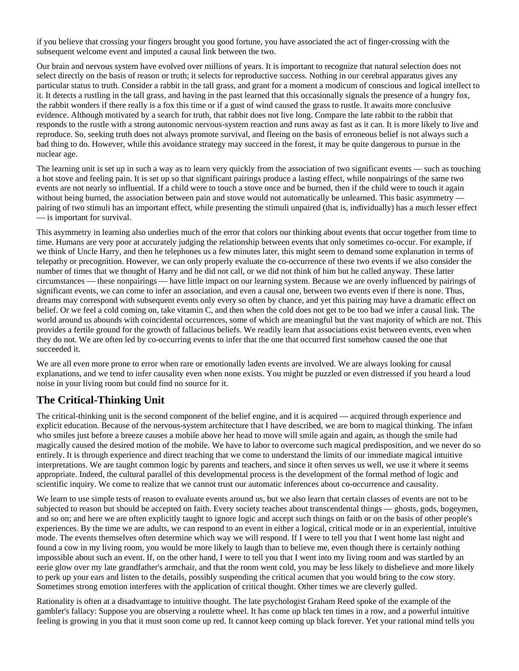if you believe that crossing your fingers brought you good fortune, you have associated the act of finger-crossing with the subsequent welcome event and imputed a causal link between the two.

Our brain and nervous system have evolved over millions of years. It is important to recognize that natural selection does not select directly on the basis of reason or truth; it selects for reproductive success. Nothing in our cerebral apparatus gives any particular status to truth. Consider a rabbit in the tall grass, and grant for a moment a modicum of conscious and logical intellect to it. It detects a rustling in the tall grass, and having in the past learned that this occasionally signals the presence of a hungry fox, the rabbit wonders if there really is a fox this time or if a gust of wind caused the grass to rustle. It awaits more conclusive evidence. Although motivated by a search for truth, that rabbit does not live long. Compare the late rabbit to the rabbit that responds to the rustle with a strong autonomic nervous-system reaction and runs away as fast as it can. It is more likely to live and reproduce. So, seeking truth does not always promote survival, and fleeing on the basis of erroneous belief is not always such a bad thing to do. However, while this avoidance strategy may succeed in the forest, it may be quite dangerous to pursue in the nuclear age.

The learning unit is set up in such a way as to learn very quickly from the association of two significant events — such as touching a hot stove and feeling pain. It is set up so that significant pairings produce a lasting effect, while nonpairings of the same two events are not nearly so influential. If a child were to touch a stove once and be burned, then if the child were to touch it again without being burned, the association between pain and stove would not automatically be unlearned. This basic asymmetry pairing of two stimuli has an important effect, while presenting the stimuli unpaired (that is, individually) has a much lesser effect — is important for survival.

This asymmetry in learning also underlies much of the error that colors our thinking about events that occur together from time to time. Humans are very poor at accurately judging the relationship between events that only sometimes co-occur. For example, if we think of Uncle Harry, and then he telephones us a few minutes later, this might seem to demand some explanation in terms of telepathy or precognition. However, we can only properly evaluate the co-occurrence of these two events if we also consider the number of times that we thought of Harry and he did not call, or we did not think of him but he called anyway. These latter circumstances — these nonpairings — have little impact on our learning system. Because we are overly influenced by pairings of significant events, we can come to infer an association, and even a causal one, between two events even if there is none. Thus, dreams may correspond with subsequent events only every so often by chance, and yet this pairing may have a dramatic effect on belief. Or we feel a cold coming on, take vitamin C, and then when the cold does not get to be too bad we infer a causal link. The world around us abounds with coincidental occurrences, some of which are meaningful but the vast majority of which are not. This provides a fertile ground for the growth of fallacious beliefs. We readily learn that associations exist between events, even when they do not. We are often led by co-occurring events to infer that the one that occurred first somehow caused the one that succeeded it.

We are all even more prone to error when rare or emotionally laden events are involved. We are always looking for causal explanations, and we tend to infer causality even when none exists. You might be puzzled or even distressed if you heard a loud noise in your living room but could find no source for it.

#### **The Critical-Thinking Unit**

The critical-thinking unit is the second component of the belief engine, and it is acquired — acquired through experience and explicit education. Because of the nervous-system architecture that I have described, we are born to magical thinking. The infant who smiles just before a breeze causes a mobile above her head to move will smile again and again, as though the smile had magically caused the desired motion of the mobile. We have to labor to overcome such magical predisposition, and we never do so entirely. It is through experience and direct teaching that we come to understand the limits of our immediate magical intuitive interpretations. We are taught common logic by parents and teachers, and since it often serves us well, we use it where it seems appropriate. Indeed, the cultural parallel of this developmental process is the development of the formal method of logic and scientific inquiry. We come to realize that we cannot trust our automatic inferences about co-occurrence and causality.

We learn to use simple tests of reason to evaluate events around us, but we also learn that certain classes of events are not to be subjected to reason but should be accepted on faith. Every society teaches about transcendental things — ghosts, gods, bogeymen, and so on; and here we are often explicitly taught to ignore logic and accept such things on faith or on the basis of other people's experiences. By the time we are adults, we can respond to an event in either a logical, critical mode or in an experiential, intuitive mode. The events themselves often determine which way we will respond. If I were to tell you that I went home last night and found a cow in my living room, you would be more likely to laugh than to believe me, even though there is certainly nothing impossible about such an event. If, on the other hand, I were to tell you that I went into my living room and was startled by an eerie glow over my late grandfather's armchair, and that the room went cold, you may be less likely to disbelieve and more likely to perk up your ears and listen to the details, possibly suspending the critical acumen that you would bring to the cow story. Sometimes strong emotion interferes with the application of critical thought. Other times we are cleverly gulled.

Rationality is often at a disadvantage to intuitive thought. The late psychologist Graham Reed spoke of the example of the gambler's fallacy: Suppose you are observing a roulette wheel. It has come up black ten times in a row, and a powerful intuitive feeling is growing in you that it must soon come up red. It cannot keep coming up black forever. Yet your rational mind tells you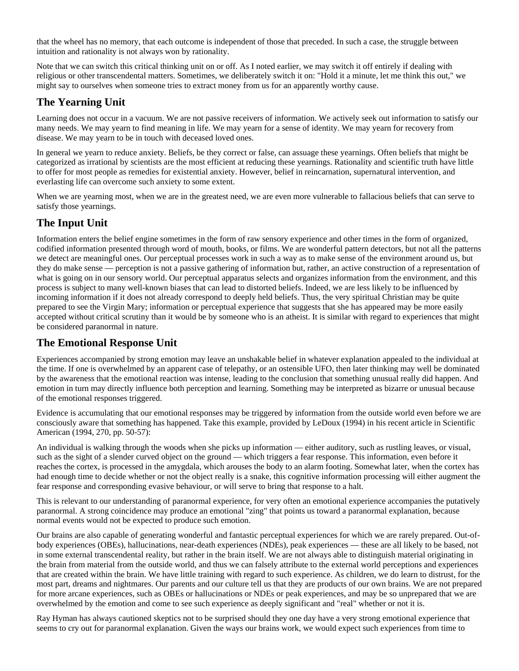that the wheel has no memory, that each outcome is independent of those that preceded. In such a case, the struggle between intuition and rationality is not always won by rationality.

Note that we can switch this critical thinking unit on or off. As I noted earlier, we may switch it off entirely if dealing with religious or other transcendental matters. Sometimes, we deliberately switch it on: "Hold it a minute, let me think this out," we might say to ourselves when someone tries to extract money from us for an apparently worthy cause.

### **The Yearning Unit**

Learning does not occur in a vacuum. We are not passive receivers of information. We actively seek out information to satisfy our many needs. We may yearn to find meaning in life. We may yearn for a sense of identity. We may yearn for recovery from disease. We may yearn to be in touch with deceased loved ones.

In general we yearn to reduce anxiety. Beliefs, be they correct or false, can assuage these yearnings. Often beliefs that might be categorized as irrational by scientists are the most efficient at reducing these yearnings. Rationality and scientific truth have little to offer for most people as remedies for existential anxiety. However, belief in reincarnation, supernatural intervention, and everlasting life can overcome such anxiety to some extent.

When we are yearning most, when we are in the greatest need, we are even more vulnerable to fallacious beliefs that can serve to satisfy those yearnings.

## **The Input Unit**

Information enters the belief engine sometimes in the form of raw sensory experience and other times in the form of organized, codified information presented through word of mouth, books, or films. We are wonderful pattern detectors, but not all the patterns we detect are meaningful ones. Our perceptual processes work in such a way as to make sense of the environment around us, but they do make sense — perception is not a passive gathering of information but, rather, an active construction of a representation of what is going on in our sensory world. Our perceptual apparatus selects and organizes information from the environment, and this process is subject to many well-known biases that can lead to distorted beliefs. Indeed, we are less likely to be influenced by incoming information if it does not already correspond to deeply held beliefs. Thus, the very spiritual Christian may be quite prepared to see the Virgin Mary; information or perceptual experience that suggests that she has appeared may be more easily accepted without critical scrutiny than it would be by someone who is an atheist. It is similar with regard to experiences that might be considered paranormal in nature.

#### **The Emotional Response Unit**

Experiences accompanied by strong emotion may leave an unshakable belief in whatever explanation appealed to the individual at the time. If one is overwhelmed by an apparent case of telepathy, or an ostensible UFO, then later thinking may well be dominated by the awareness that the emotional reaction was intense, leading to the conclusion that something unusual really did happen. And emotion in turn may directly influence both perception and learning. Something may be interpreted as bizarre or unusual because of the emotional responses triggered.

Evidence is accumulating that our emotional responses may be triggered by information from the outside world even before we are consciously aware that something has happened. Take this example, provided by LeDoux (1994) in his recent article in Scientific American (1994, 270, pp. 50-57):

An individual is walking through the woods when she picks up information — either auditory, such as rustling leaves, or visual, such as the sight of a slender curved object on the ground — which triggers a fear response. This information, even before it reaches the cortex, is processed in the amygdala, which arouses the body to an alarm footing. Somewhat later, when the cortex has had enough time to decide whether or not the object really is a snake, this cognitive information processing will either augment the fear response and corresponding evasive behaviour, or will serve to bring that response to a halt.

This is relevant to our understanding of paranormal experience, for very often an emotional experience accompanies the putatively paranormal. A strong coincidence may produce an emotional "zing" that points us toward a paranormal explanation, because normal events would not be expected to produce such emotion.

Our brains are also capable of generating wonderful and fantastic perceptual experiences for which we are rarely prepared. Out-ofbody experiences (OBEs), hallucinations, near-death experiences (NDEs), peak experiences — these are all likely to be based, not in some external transcendental reality, but rather in the brain itself. We are not always able to distinguish material originating in the brain from material from the outside world, and thus we can falsely attribute to the external world perceptions and experiences that are created within the brain. We have little training with regard to such experience. As children, we do learn to distrust, for the most part, dreams and nightmares. Our parents and our culture tell us that they are products of our own brains. We are not prepared for more arcane experiences, such as OBEs or hallucinations or NDEs or peak experiences, and may be so unprepared that we are overwhelmed by the emotion and come to see such experience as deeply significant and "real" whether or not it is.

Ray Hyman has always cautioned skeptics not to be surprised should they one day have a very strong emotional experience that seems to cry out for paranormal explanation. Given the ways our brains work, we would expect such experiences from time to